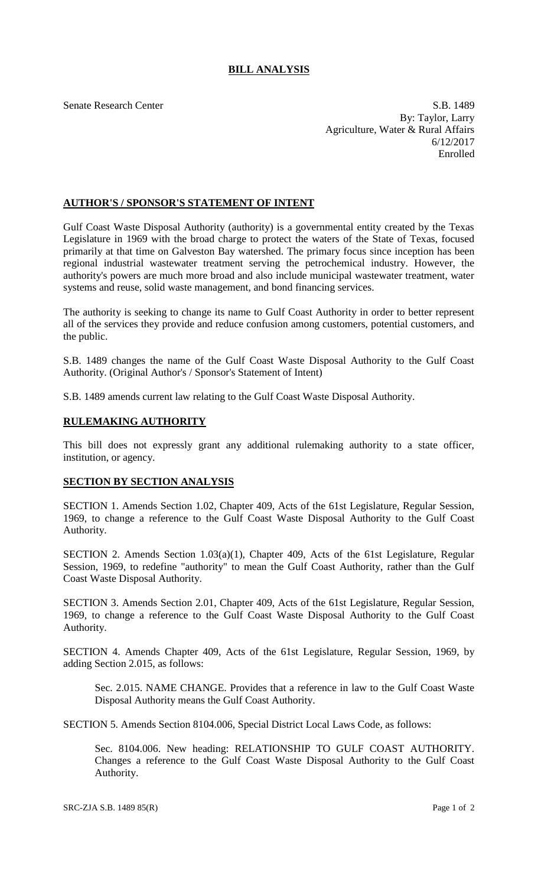## **BILL ANALYSIS**

Senate Research Center S.B. 1489 By: Taylor, Larry Agriculture, Water & Rural Affairs 6/12/2017 Enrolled

## **AUTHOR'S / SPONSOR'S STATEMENT OF INTENT**

Gulf Coast Waste Disposal Authority (authority) is a governmental entity created by the Texas Legislature in 1969 with the broad charge to protect the waters of the State of Texas, focused primarily at that time on Galveston Bay watershed. The primary focus since inception has been regional industrial wastewater treatment serving the petrochemical industry. However, the authority's powers are much more broad and also include municipal wastewater treatment, water systems and reuse, solid waste management, and bond financing services.

The authority is seeking to change its name to Gulf Coast Authority in order to better represent all of the services they provide and reduce confusion among customers, potential customers, and the public.

S.B. 1489 changes the name of the Gulf Coast Waste Disposal Authority to the Gulf Coast Authority. (Original Author's / Sponsor's Statement of Intent)

S.B. 1489 amends current law relating to the Gulf Coast Waste Disposal Authority.

## **RULEMAKING AUTHORITY**

This bill does not expressly grant any additional rulemaking authority to a state officer, institution, or agency.

## **SECTION BY SECTION ANALYSIS**

SECTION 1. Amends Section 1.02, Chapter 409, Acts of the 61st Legislature, Regular Session, 1969, to change a reference to the Gulf Coast Waste Disposal Authority to the Gulf Coast Authority.

SECTION 2. Amends Section 1.03(a)(1), Chapter 409, Acts of the 61st Legislature, Regular Session, 1969, to redefine "authority" to mean the Gulf Coast Authority, rather than the Gulf Coast Waste Disposal Authority.

SECTION 3. Amends Section 2.01, Chapter 409, Acts of the 61st Legislature, Regular Session, 1969, to change a reference to the Gulf Coast Waste Disposal Authority to the Gulf Coast Authority.

SECTION 4. Amends Chapter 409, Acts of the 61st Legislature, Regular Session, 1969, by adding Section 2.015, as follows:

Sec. 2.015. NAME CHANGE. Provides that a reference in law to the Gulf Coast Waste Disposal Authority means the Gulf Coast Authority.

SECTION 5. Amends Section 8104.006, Special District Local Laws Code, as follows:

Sec. 8104.006. New heading: RELATIONSHIP TO GULF COAST AUTHORITY. Changes a reference to the Gulf Coast Waste Disposal Authority to the Gulf Coast Authority.